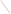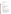# **AGENCY:** Environmental Protection Agency (EPA) **TITLE:** "COMMUNITY ACTION FOR A RENEWED ENVIRONMENT (CARE) PROGRAM " ACTION: Request for Proposal (RFP) Amendment No. 1 **RFP NO**: EPA-OAR-IO-08-02 **CFDA:** 66.035 **DATE:** February 12, 2008

**SUMMARY**: This notice is to add supporting attachments (2) to above referenced RFP.

Accordingly,

Attachment I shall read as follows,

## **2008 SAMPLE TEMPLATE FOR CARE PROPOSAL PACKAGE**

#### **I. Title Page - should contain the following information only**

- A. Name, address and phone number of organization applying
- B. Name and location of the Community
- C. Name of a contact person
- D. Whether you are applying for a Level 1 or Level 2 grant
- E. The amount of money requested.

### **II. Proposal (10 page maximum)**

**A. Project Title** -- Please include the city, state/tribal identification in the title.

**B. Organization Overview** -- An overview of the applicant's organization, its mission, and pertinent related experience.

**C. Community Profile** -- A profile of the community served by the proposed project

**D. Project Description** -- A summary of the project and an explicit description of how the proposed project specifically addresses each of the applicable evaluation criteria in Section V. Applicants must submit information addressing, and responding to each of the evaluation factors in Section V of the RFP. To assist potential applicants in the preparation of their proposals, EPA has provided "suggested types of information" in Appendix C of the RFP.

## **Level I project description should include a reasonable level of detail on the:**

- Project's purpose, in a brief concise paragraph
- Extent of environmental and public health problem affecting the community
- Project goals and performance plan with proposed timeline
- Community involvement/collaboration/partnership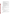- Alignment with the CARE strategies (as identified in Section I.B.2)
- Tracking and measuring environmental results, including a plan with milestones for tracking and measuring progress towards achieving the expected project's outcomes and outputs
- Applicant's programmatic capability

#### **Level II project description should include a reasonable level of detail on:**

- Project's purpose, in a brief concise paragraph
- Environmental issues and community concerns including both those considered and the ones identified to be addressed by the project
- Project goals and performance plan with proposed timeline
- Names of the members of the broad-based stakeholder group (those who participated in Level I work and those who will be part of the Level II project).
- Results of the Level I work including the priority risks
- Ability to leverage new resources and sustain community efforts to understand and improve the environment
- Project's alignment with CARE strategies (as identified in Section I.B.2)
- Tracking and measuring of environmental results, including a tracking and measurement plan with milestones, that address the progress of achieving the expected project outcomes and outputs
- Applicant's programmatic capability

**E. Key Personnel** -- Brief biographical sketches of key technical experts who will be involved in the proposed project.

**F. Budget** – A detailed budget which reflects the tasks/activities proposed for the CARE project. In addition, please provide an approximation of the percentage of the budget designated for each major activity. (See Appendix B)

#### **III. Letters of Support**

These are references or letters confirming the commitment of other organizations or individuals in the project

#### **IV. Other Supplemental Information**

**Please make sure that you and your project are eligible and fit the CARE program model** 

- **Level I Grant Applicants can submit no additional ma**terial
- **For Level II Grant Applicants Only:**

Additional supplemental information can only be provided to demonstrate that the applicant has met the threshold criteria for a Level II grant (e.g. membership lists, meeting notes, reports).

You can submit no more than five (5) attachments of no more than 50 TOTAL pages of substantiating materials.